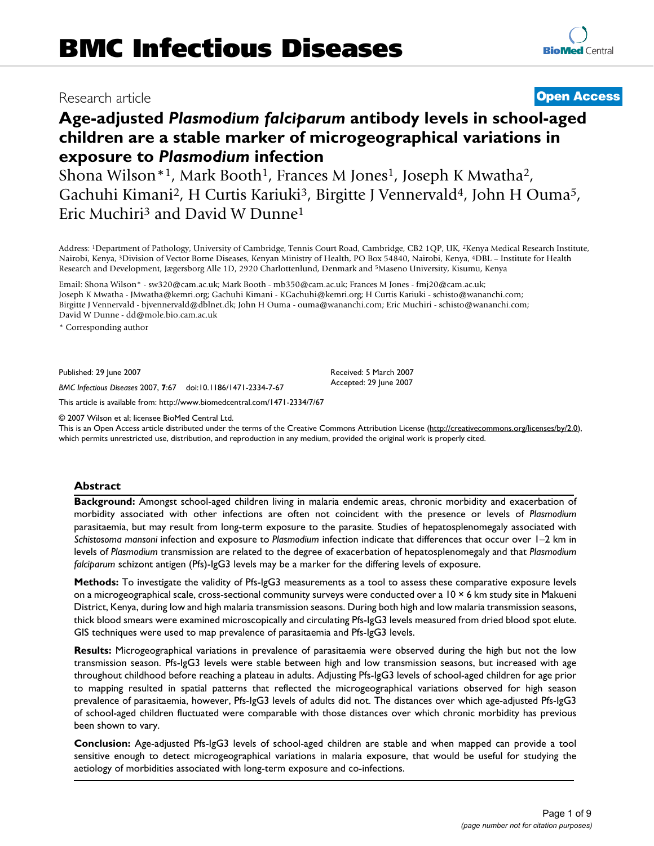# Research article **[Open Access](http://www.biomedcentral.com/info/about/charter/)**

# **Age-adjusted** *Plasmodium falciparum* **antibody levels in school-aged children are a stable marker of microgeographical variations in exposure to** *Plasmodium* **infection**

Shona Wilson<sup>\*1</sup>, Mark Booth<sup>1</sup>, Frances M Jones<sup>1</sup>, Joseph K Mwatha<sup>2</sup>, Gachuhi Kimani<sup>2</sup>, H Curtis Kariuki<sup>3</sup>, Birgitte J Vennervald<sup>4</sup>, John H Ouma<sup>5</sup>, Eric Muchiri3 and David W Dunne1

Address: 1Department of Pathology, University of Cambridge, Tennis Court Road, Cambridge, CB2 1QP, UK, 2Kenya Medical Research Institute, Nairobi, Kenya, 3Division of Vector Borne Diseases, Kenyan Ministry of Health, PO Box 54840, Nairobi, Kenya, 4DBL – Institute for Health Research and Development, Jægersborg Alle 1D, 2920 Charlottenlund, Denmark and 5Maseno University, Kisumu, Kenya

Email: Shona Wilson\* - sw320@cam.ac.uk; Mark Booth - mb350@cam.ac.uk; Frances M Jones - fmj20@cam.ac.uk; Joseph K Mwatha - JMwatha@kemri.org; Gachuhi Kimani - KGachuhi@kemri.org; H Curtis Kariuki - schisto@wananchi.com; Birgitte J Vennervald - bjvennervald@dblnet.dk; John H Ouma - ouma@wananchi.com; Eric Muchiri - schisto@wananchi.com; David W Dunne - dd@mole.bio.cam.ac.uk

\* Corresponding author

Published: 29 June 2007

*BMC Infectious Diseases* 2007, **7**:67 doi:10.1186/1471-2334-7-67

[This article is available from: http://www.biomedcentral.com/1471-2334/7/67](http://www.biomedcentral.com/1471-2334/7/67)

© 2007 Wilson et al; licensee BioMed Central Ltd.

This is an Open Access article distributed under the terms of the Creative Commons Attribution License [\(http://creativecommons.org/licenses/by/2.0\)](http://creativecommons.org/licenses/by/2.0), which permits unrestricted use, distribution, and reproduction in any medium, provided the original work is properly cited.

Received: 5 March 2007 Accepted: 29 June 2007

#### **Abstract**

**Background:** Amongst school-aged children living in malaria endemic areas, chronic morbidity and exacerbation of morbidity associated with other infections are often not coincident with the presence or levels of *Plasmodium* parasitaemia, but may result from long-term exposure to the parasite. Studies of hepatosplenomegaly associated with *Schistosoma mansoni* infection and exposure to *Plasmodium* infection indicate that differences that occur over 1–2 km in levels of *Plasmodium* transmission are related to the degree of exacerbation of hepatosplenomegaly and that *Plasmodium falciparum* schizont antigen (Pfs)-IgG3 levels may be a marker for the differing levels of exposure.

**Methods:** To investigate the validity of Pfs-IgG3 measurements as a tool to assess these comparative exposure levels on a microgeographical scale, cross-sectional community surveys were conducted over a 10 × 6 km study site in Makueni District, Kenya, during low and high malaria transmission seasons. During both high and low malaria transmission seasons, thick blood smears were examined microscopically and circulating Pfs-IgG3 levels measured from dried blood spot elute. GIS techniques were used to map prevalence of parasitaemia and Pfs-IgG3 levels.

**Results:** Microgeographical variations in prevalence of parasitaemia were observed during the high but not the low transmission season. Pfs-IgG3 levels were stable between high and low transmission seasons, but increased with age throughout childhood before reaching a plateau in adults. Adjusting Pfs-IgG3 levels of school-aged children for age prior to mapping resulted in spatial patterns that reflected the microgeographical variations observed for high season prevalence of parasitaemia, however, Pfs-IgG3 levels of adults did not. The distances over which age-adjusted Pfs-IgG3 of school-aged children fluctuated were comparable with those distances over which chronic morbidity has previous been shown to vary.

**Conclusion:** Age-adjusted Pfs-IgG3 levels of school-aged children are stable and when mapped can provide a tool sensitive enough to detect microgeographical variations in malaria exposure, that would be useful for studying the aetiology of morbidities associated with long-term exposure and co-infections.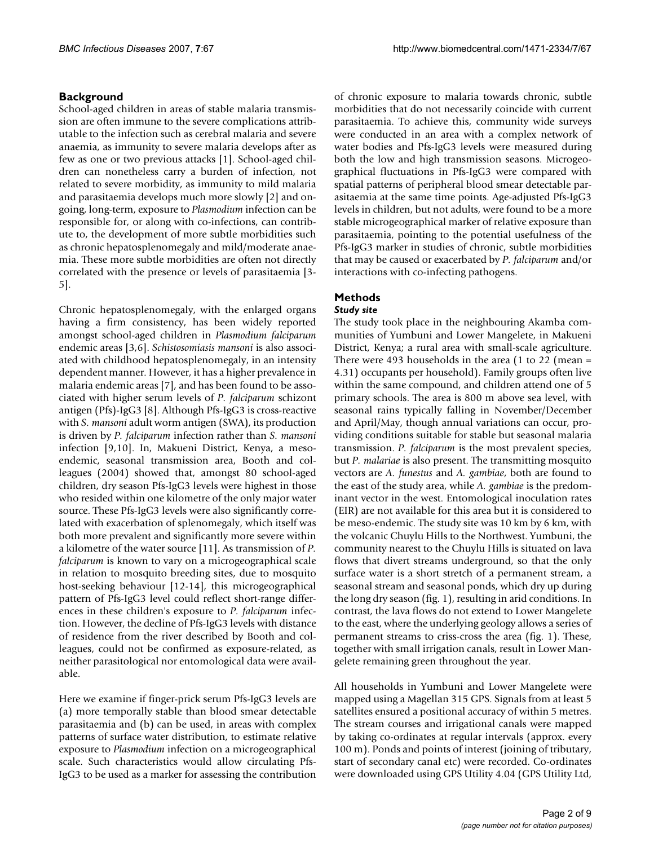# **Background**

School-aged children in areas of stable malaria transmission are often immune to the severe complications attributable to the infection such as cerebral malaria and severe anaemia, as immunity to severe malaria develops after as few as one or two previous attacks [1]. School-aged children can nonetheless carry a burden of infection, not related to severe morbidity, as immunity to mild malaria and parasitaemia develops much more slowly [2] and ongoing, long-term, exposure to *Plasmodium* infection can be responsible for, or along with co-infections, can contribute to, the development of more subtle morbidities such as chronic hepatosplenomegaly and mild/moderate anaemia. These more subtle morbidities are often not directly correlated with the presence or levels of parasitaemia [3- 5].

Chronic hepatosplenomegaly, with the enlarged organs having a firm consistency, has been widely reported amongst school-aged children in *Plasmodium falciparum* endemic areas [3,6]. *Schistosomiasis mansoni* is also associated with childhood hepatosplenomegaly, in an intensity dependent manner. However, it has a higher prevalence in malaria endemic areas [7], and has been found to be associated with higher serum levels of *P. falciparum* schizont antigen (Pfs)-IgG3 [8]. Although Pfs-IgG3 is cross-reactive with *S. mansoni* adult worm antigen (SWA), its production is driven by *P. falciparum* infection rather than *S. mansoni* infection [9,10]. In, Makueni District, Kenya, a mesoendemic, seasonal transmission area, Booth and colleagues (2004) showed that, amongst 80 school-aged children, dry season Pfs-IgG3 levels were highest in those who resided within one kilometre of the only major water source. These Pfs-IgG3 levels were also significantly correlated with exacerbation of splenomegaly, which itself was both more prevalent and significantly more severe within a kilometre of the water source [11]. As transmission of *P. falciparum* is known to vary on a microgeographical scale in relation to mosquito breeding sites, due to mosquito host-seeking behaviour [12-14], this microgeographical pattern of Pfs-IgG3 level could reflect short-range differences in these children's exposure to *P. falciparum* infection. However, the decline of Pfs-IgG3 levels with distance of residence from the river described by Booth and colleagues, could not be confirmed as exposure-related, as neither parasitological nor entomological data were available.

Here we examine if finger-prick serum Pfs-IgG3 levels are (a) more temporally stable than blood smear detectable parasitaemia and (b) can be used, in areas with complex patterns of surface water distribution, to estimate relative exposure to *Plasmodium* infection on a microgeographical scale. Such characteristics would allow circulating Pfs-IgG3 to be used as a marker for assessing the contribution

of chronic exposure to malaria towards chronic, subtle morbidities that do not necessarily coincide with current parasitaemia. To achieve this, community wide surveys were conducted in an area with a complex network of water bodies and Pfs-IgG3 levels were measured during both the low and high transmission seasons. Microgeographical fluctuations in Pfs-IgG3 were compared with spatial patterns of peripheral blood smear detectable parasitaemia at the same time points. Age-adjusted Pfs-IgG3 levels in children, but not adults, were found to be a more stable microgeographical marker of relative exposure than parasitaemia, pointing to the potential usefulness of the Pfs-IgG3 marker in studies of chronic, subtle morbidities that may be caused or exacerbated by *P. falciparum* and/or interactions with co-infecting pathogens.

# **Methods**

# *Study site*

The study took place in the neighbouring Akamba communities of Yumbuni and Lower Mangelete, in Makueni District, Kenya; a rural area with small-scale agriculture. There were 493 households in the area (1 to 22 (mean = 4.31) occupants per household). Family groups often live within the same compound, and children attend one of 5 primary schools. The area is 800 m above sea level, with seasonal rains typically falling in November/December and April/May, though annual variations can occur, providing conditions suitable for stable but seasonal malaria transmission. *P. falciparum* is the most prevalent species, but *P. malariae* is also present. The transmitting mosquito vectors are *A. funestus* and *A. gambiae*, both are found to the east of the study area, while *A. gambiae* is the predominant vector in the west. Entomological inoculation rates (EIR) are not available for this area but it is considered to be meso-endemic. The study site was 10 km by 6 km, with the volcanic Chuylu Hills to the Northwest. Yumbuni, the community nearest to the Chuylu Hills is situated on lava flows that divert streams underground, so that the only surface water is a short stretch of a permanent stream, a seasonal stream and seasonal ponds, which dry up during the long dry season (fig. 1), resulting in arid conditions. In contrast, the lava flows do not extend to Lower Mangelete to the east, where the underlying geology allows a series of permanent streams to criss-cross the area (fig. 1). These, together with small irrigation canals, result in Lower Mangelete remaining green throughout the year.

All households in Yumbuni and Lower Mangelete were mapped using a Magellan 315 GPS. Signals from at least 5 satellites ensured a positional accuracy of within 5 metres. The stream courses and irrigational canals were mapped by taking co-ordinates at regular intervals (approx. every 100 m). Ponds and points of interest (joining of tributary, start of secondary canal etc) were recorded. Co-ordinates were downloaded using GPS Utility 4.04 (GPS Utility Ltd,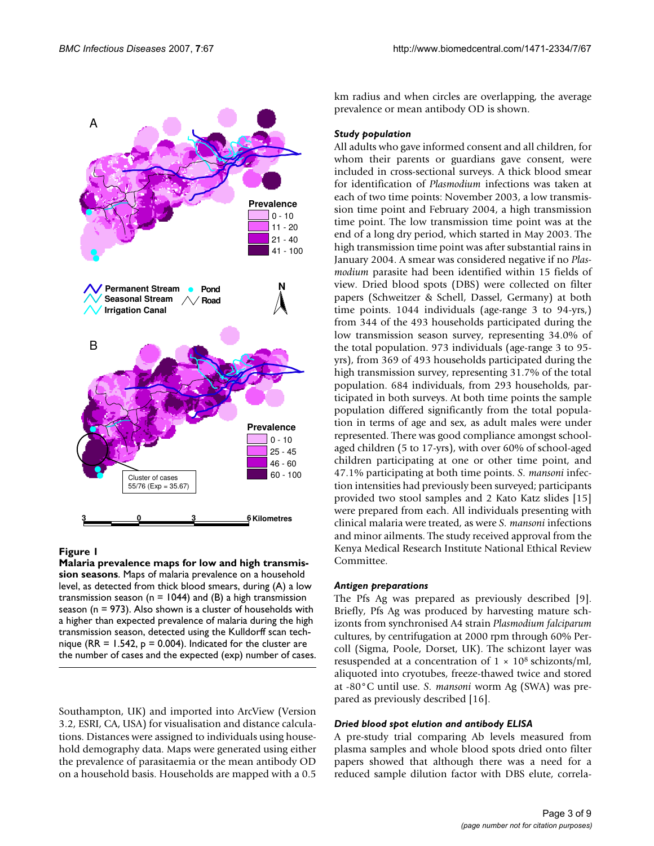

# Figure 1

**Malaria prevalence maps for low and high transmission seasons**. Maps of malaria prevalence on a household level, as detected from thick blood smears, during (A) a low transmission season ( $n = 1044$ ) and (B) a high transmission season (n = 973). Also shown is a cluster of households with a higher than expected prevalence of malaria during the high transmission season, detected using the Kulldorff scan technique (RR =  $1.542$ , p = 0.004). Indicated for the cluster are the number of cases and the expected (exp) number of cases.

Southampton, UK) and imported into ArcView (Version 3.2, ESRI, CA, USA) for visualisation and distance calculations. Distances were assigned to individuals using household demography data. Maps were generated using either the prevalence of parasitaemia or the mean antibody OD on a household basis. Households are mapped with a 0.5

km radius and when circles are overlapping, the average prevalence or mean antibody OD is shown.

#### *Study population*

All adults who gave informed consent and all children, for whom their parents or guardians gave consent, were included in cross-sectional surveys. A thick blood smear for identification of *Plasmodium* infections was taken at each of two time points: November 2003, a low transmission time point and February 2004, a high transmission time point. The low transmission time point was at the end of a long dry period, which started in May 2003. The high transmission time point was after substantial rains in January 2004. A smear was considered negative if no *Plasmodium* parasite had been identified within 15 fields of view. Dried blood spots (DBS) were collected on filter papers (Schweitzer & Schell, Dassel, Germany) at both time points. 1044 individuals (age-range 3 to 94-yrs,) from 344 of the 493 households participated during the low transmission season survey, representing 34.0% of the total population. 973 individuals (age-range 3 to 95 yrs), from 369 of 493 households participated during the high transmission survey, representing 31.7% of the total population. 684 individuals, from 293 households, participated in both surveys. At both time points the sample population differed significantly from the total population in terms of age and sex, as adult males were under represented. There was good compliance amongst schoolaged children (5 to 17-yrs), with over 60% of school-aged children participating at one or other time point, and 47.1% participating at both time points. *S. mansoni* infection intensities had previously been surveyed; participants provided two stool samples and 2 Kato Katz slides [15] were prepared from each. All individuals presenting with clinical malaria were treated, as were *S. mansoni* infections and minor ailments. The study received approval from the Kenya Medical Research Institute National Ethical Review Committee.

#### *Antigen preparations*

The Pfs Ag was prepared as previously described [9]. Briefly, Pfs Ag was produced by harvesting mature schizonts from synchronised A4 strain *Plasmodium falciparum* cultures, by centrifugation at 2000 rpm through 60% Percoll (Sigma, Poole, Dorset, UK). The schizont layer was resuspended at a concentration of  $1 \times 10^8$  schizonts/ml, aliquoted into cryotubes, freeze-thawed twice and stored at -80°C until use. *S. mansoni* worm Ag (SWA) was prepared as previously described [16].

#### *Dried blood spot elution and antibody ELISA*

A pre-study trial comparing Ab levels measured from plasma samples and whole blood spots dried onto filter papers showed that although there was a need for a reduced sample dilution factor with DBS elute, correla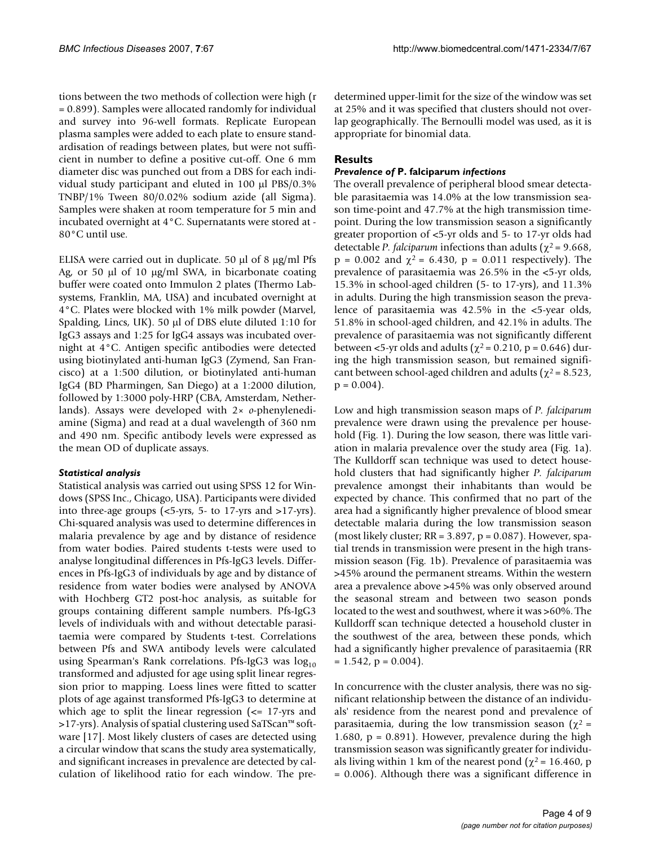tions between the two methods of collection were high (r = 0.899). Samples were allocated randomly for individual and survey into 96-well formats. Replicate European plasma samples were added to each plate to ensure standardisation of readings between plates, but were not sufficient in number to define a positive cut-off. One 6 mm diameter disc was punched out from a DBS for each individual study participant and eluted in 100 µl PBS/0.3% TNBP/1% Tween 80/0.02% sodium azide (all Sigma). Samples were shaken at room temperature for 5 min and incubated overnight at 4°C. Supernatants were stored at - 80°C until use.

ELISA were carried out in duplicate. 50  $\mu$ l of 8  $\mu$ g/ml Pfs Ag, or 50  $\mu$ l of 10  $\mu$ g/ml SWA, in bicarbonate coating buffer were coated onto Immulon 2 plates (Thermo Labsystems, Franklin, MA, USA) and incubated overnight at 4°C. Plates were blocked with 1% milk powder (Marvel, Spalding, Lincs, UK). 50 µl of DBS elute diluted 1:10 for IgG3 assays and 1:25 for IgG4 assays was incubated overnight at 4°C. Antigen specific antibodies were detected using biotinylated anti-human IgG3 (Zymend, San Francisco) at a 1:500 dilution, or biotinylated anti-human IgG4 (BD Pharmingen, San Diego) at a 1:2000 dilution, followed by 1:3000 poly-HRP (CBA, Amsterdam, Netherlands). Assays were developed with 2× *o*-phenylenediamine (Sigma) and read at a dual wavelength of 360 nm and 490 nm. Specific antibody levels were expressed as the mean OD of duplicate assays.

# *Statistical analysis*

Statistical analysis was carried out using SPSS 12 for Windows (SPSS Inc., Chicago, USA). Participants were divided into three-age groups (<5-yrs, 5- to 17-yrs and >17-yrs). Chi-squared analysis was used to determine differences in malaria prevalence by age and by distance of residence from water bodies. Paired students t-tests were used to analyse longitudinal differences in Pfs-IgG3 levels. Differences in Pfs-IgG3 of individuals by age and by distance of residence from water bodies were analysed by ANOVA with Hochberg GT2 post-hoc analysis, as suitable for groups containing different sample numbers. Pfs-IgG3 levels of individuals with and without detectable parasitaemia were compared by Students t-test. Correlations between Pfs and SWA antibody levels were calculated using Spearman's Rank correlations. Pfs-IgG3 was  $log_{10}$ transformed and adjusted for age using split linear regression prior to mapping. Loess lines were fitted to scatter plots of age against transformed Pfs-IgG3 to determine at which age to split the linear regression  $\leq$  17-yrs and >17-yrs). Analysis of spatial clustering used SaTScan™ software [17]. Most likely clusters of cases are detected using a circular window that scans the study area systematically, and significant increases in prevalence are detected by calculation of likelihood ratio for each window. The predetermined upper-limit for the size of the window was set at 25% and it was specified that clusters should not overlap geographically. The Bernoulli model was used, as it is appropriate for binomial data.

# **Results**

# *Prevalence of* **P. falciparum** *infections*

The overall prevalence of peripheral blood smear detectable parasitaemia was 14.0% at the low transmission season time-point and 47.7% at the high transmission timepoint. During the low transmission season a significantly greater proportion of <5-yr olds and 5- to 17-yr olds had detectable *P. falciparum* infections than adults ( $\chi^2$  = 9.668, p = 0.002 and  $\chi^2$  = 6.430, p = 0.011 respectively). The prevalence of parasitaemia was 26.5% in the <5-yr olds, 15.3% in school-aged children (5- to 17-yrs), and 11.3% in adults. During the high transmission season the prevalence of parasitaemia was 42.5% in the <5-year olds, 51.8% in school-aged children, and 42.1% in adults. The prevalence of parasitaemia was not significantly different between <5-yr olds and adults ( $\chi^2$  = 0.210, p = 0.646) during the high transmission season, but remained significant between school-aged children and adults ( $\chi^2$  = 8.523,  $p = 0.004$ .

Low and high transmission season maps of *P. falciparum* prevalence were drawn using the prevalence per household (Fig. 1). During the low season, there was little variation in malaria prevalence over the study area (Fig. 1a). The Kulldorff scan technique was used to detect household clusters that had significantly higher *P. falciparum* prevalence amongst their inhabitants than would be expected by chance. This confirmed that no part of the area had a significantly higher prevalence of blood smear detectable malaria during the low transmission season (most likely cluster;  $RR = 3.897$ ,  $p = 0.087$ ). However, spatial trends in transmission were present in the high transmission season (Fig. 1b). Prevalence of parasitaemia was >45% around the permanent streams. Within the western area a prevalence above >45% was only observed around the seasonal stream and between two season ponds located to the west and southwest, where it was >60%. The Kulldorff scan technique detected a household cluster in the southwest of the area, between these ponds, which had a significantly higher prevalence of parasitaemia (RR  $= 1.542$ ,  $p = 0.004$ .

In concurrence with the cluster analysis, there was no significant relationship between the distance of an individuals' residence from the nearest pond and prevalence of parasitaemia, during the low transmission season ( $χ² =$ 1.680,  $p = 0.891$ ). However, prevalence during the high transmission season was significantly greater for individuals living within 1 km of the nearest pond ( $\chi^2$  = 16.460, p = 0.006). Although there was a significant difference in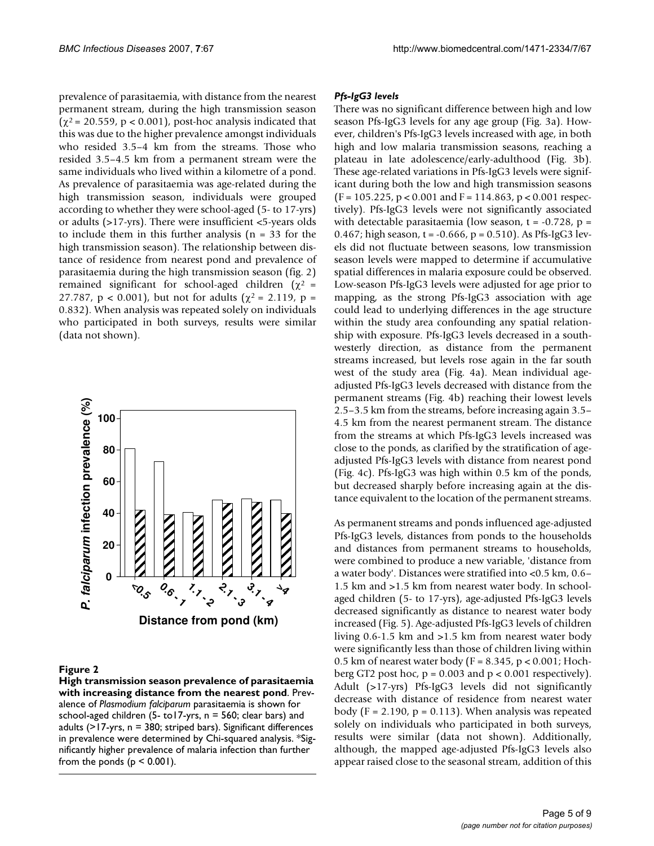prevalence of parasitaemia, with distance from the nearest permanent stream, during the high transmission season  $(\chi^2 = 20.559, p < 0.001)$ , post-hoc analysis indicated that this was due to the higher prevalence amongst individuals who resided 3.5–4 km from the streams. Those who resided 3.5–4.5 km from a permanent stream were the same individuals who lived within a kilometre of a pond. As prevalence of parasitaemia was age-related during the high transmission season, individuals were grouped according to whether they were school-aged (5- to 17-yrs) or adults (>17-yrs). There were insufficient <5-years olds to include them in this further analysis ( $n = 33$  for the high transmission season). The relationship between distance of residence from nearest pond and prevalence of parasitaemia during the high transmission season (fig. 2) remained significant for school-aged children ( $χ² =$ 27.787,  $p < 0.001$ ), but not for adults ( $\chi^2 = 2.119$ ,  $p =$ 0.832). When analysis was repeated solely on individuals who participated in both surveys, results were similar (data not shown).



#### Figure 2

**High transmission season prevalence of parasitaemia with increasing distance from the nearest pond**. Prevalence of *Plasmodium falciparum* parasitaemia is shown for school-aged children (5- to17-yrs, n = 560; clear bars) and adults (>17-yrs, n = 380; striped bars). Significant differences in prevalence were determined by Chi-squared analysis. \*Significantly higher prevalence of malaria infection than further from the ponds  $(p < 0.001)$ .

#### *Pfs-IgG3 levels*

There was no significant difference between high and low season Pfs-IgG3 levels for any age group (Fig. 3a). However, children's Pfs-IgG3 levels increased with age, in both high and low malaria transmission seasons, reaching a plateau in late adolescence/early-adulthood (Fig. 3b). These age-related variations in Pfs-IgG3 levels were significant during both the low and high transmission seasons  $(F = 105.225, p < 0.001$  and  $F = 114.863, p < 0.001$  respectively). Pfs-IgG3 levels were not significantly associated with detectable parasitaemia (low season,  $t = -0.728$ ,  $p =$ 0.467; high season, t = -0.666, p = 0.510). As Pfs-IgG3 levels did not fluctuate between seasons, low transmission season levels were mapped to determine if accumulative spatial differences in malaria exposure could be observed. Low-season Pfs-IgG3 levels were adjusted for age prior to mapping, as the strong Pfs-IgG3 association with age could lead to underlying differences in the age structure within the study area confounding any spatial relationship with exposure. Pfs-IgG3 levels decreased in a southwesterly direction, as distance from the permanent streams increased, but levels rose again in the far south west of the study area (Fig. 4a). Mean individual ageadjusted Pfs-IgG3 levels decreased with distance from the permanent streams (Fig. 4b) reaching their lowest levels 2.5–3.5 km from the streams, before increasing again 3.5– 4.5 km from the nearest permanent stream. The distance from the streams at which Pfs-IgG3 levels increased was close to the ponds, as clarified by the stratification of ageadjusted Pfs-IgG3 levels with distance from nearest pond (Fig. 4c). Pfs-IgG3 was high within 0.5 km of the ponds, but decreased sharply before increasing again at the distance equivalent to the location of the permanent streams.

As permanent streams and ponds influenced age-adjusted Pfs-IgG3 levels, distances from ponds to the households and distances from permanent streams to households, were combined to produce a new variable, 'distance from a water body'. Distances were stratified into <0.5 km, 0.6– 1.5 km and >1.5 km from nearest water body. In schoolaged children (5- to 17-yrs), age-adjusted Pfs-IgG3 levels decreased significantly as distance to nearest water body increased (Fig. 5). Age-adjusted Pfs-IgG3 levels of children living 0.6-1.5 km and >1.5 km from nearest water body were significantly less than those of children living within 0.5 km of nearest water body ( $F = 8.345$ ,  $p < 0.001$ ; Hochberg GT2 post hoc,  $p = 0.003$  and  $p < 0.001$  respectively). Adult (>17-yrs) Pfs-IgG3 levels did not significantly decrease with distance of residence from nearest water body (F = 2.190,  $p = 0.113$ ). When analysis was repeated solely on individuals who participated in both surveys, results were similar (data not shown). Additionally, although, the mapped age-adjusted Pfs-IgG3 levels also appear raised close to the seasonal stream, addition of this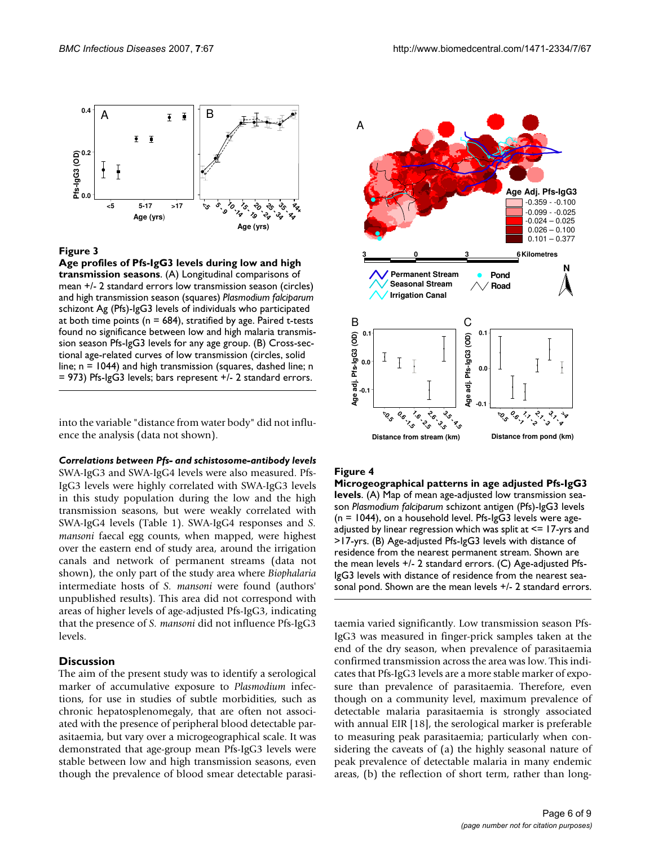

### Figure 3

**Age profiles of Pfs-IgG3 levels during low and high transmission seasons**. (A) Longitudinal comparisons of mean +/- 2 standard errors low transmission season (circles) and high transmission season (squares) *Plasmodium falciparum*  schizont Ag (Pfs)-IgG3 levels of individuals who participated at both time points ( $n = 684$ ), stratified by age. Paired t-tests found no significance between low and high malaria transmission season Pfs-IgG3 levels for any age group. (B) Cross-sectional age-related curves of low transmission (circles, solid line; n = 1044) and high transmission (squares, dashed line; n = 973) Pfs-IgG3 levels; bars represent +/- 2 standard errors.

into the variable "distance from water body" did not influence the analysis (data not shown).

#### *Correlations between Pfs- and schistosome-antibody levels*

SWA-IgG3 and SWA-IgG4 levels were also measured. Pfs-IgG3 levels were highly correlated with SWA-IgG3 levels in this study population during the low and the high transmission seasons, but were weakly correlated with SWA-IgG4 levels (Table 1). SWA-IgG4 responses and *S. mansoni* faecal egg counts, when mapped, were highest over the eastern end of study area, around the irrigation canals and network of permanent streams (data not shown), the only part of the study area where *Biophalaria* intermediate hosts of *S. mansoni* were found (authors' unpublished results). This area did not correspond with areas of higher levels of age-adjusted Pfs-IgG3, indicating that the presence of *S. mansoni* did not influence Pfs-IgG3 levels.

#### **Discussion**

The aim of the present study was to identify a serological marker of accumulative exposure to *Plasmodium* infections, for use in studies of subtle morbidities, such as chronic hepatosplenomegaly, that are often not associated with the presence of peripheral blood detectable parasitaemia, but vary over a microgeographical scale. It was demonstrated that age-group mean Pfs-IgG3 levels were stable between low and high transmission seasons, even though the prevalence of blood smear detectable parasi-



#### Figure 4

**Microgeographical patterns in age adjusted Pfs-IgG3 levels**. (A) Map of mean age-adjusted low transmission season *Plasmodium falciparum* schizont antigen (Pfs)-IgG3 levels (n = 1044), on a household level. Pfs-IgG3 levels were ageadjusted by linear regression which was split at  $\leq 17$ -yrs and >17-yrs. (B) Age-adjusted Pfs-IgG3 levels with distance of residence from the nearest permanent stream. Shown are the mean levels +/- 2 standard errors. (C) Age-adjusted Pfs-IgG3 levels with distance of residence from the nearest sea-

taemia varied significantly. Low transmission season Pfs-IgG3 was measured in finger-prick samples taken at the end of the dry season, when prevalence of parasitaemia confirmed transmission across the area was low. This indicates that Pfs-IgG3 levels are a more stable marker of exposure than prevalence of parasitaemia. Therefore, even though on a community level, maximum prevalence of detectable malaria parasitaemia is strongly associated with annual EIR [18], the serological marker is preferable to measuring peak parasitaemia; particularly when considering the caveats of (a) the highly seasonal nature of peak prevalence of detectable malaria in many endemic areas, (b) the reflection of short term, rather than long-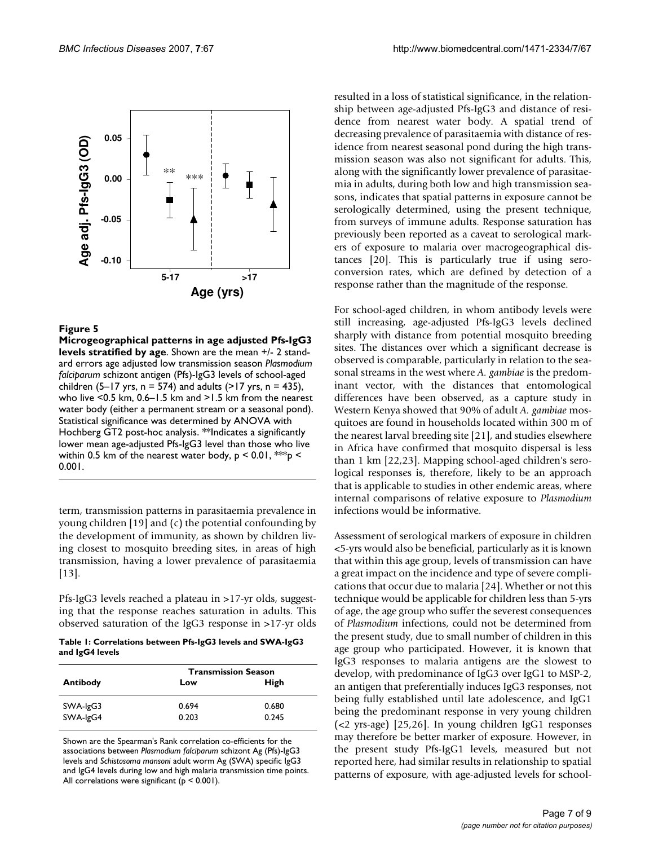

### Figure 5

**Microgeographical patterns in age adjusted Pfs-IgG3 levels stratified by age**. Shown are the mean +/- 2 standard errors age adjusted low transmission season *Plasmodium falciparum* schizont antigen (Pfs)-IgG3 levels of school-aged children (5–17 yrs,  $n = 574$ ) and adults (>17 yrs,  $n = 435$ ), who live <0.5 km, 0.6–1.5 km and >1.5 km from the nearest water body (either a permanent stream or a seasonal pond). Statistical significance was determined by ANOVA with Hochberg GT2 post-hoc analysis. \*\*Indicates a significantly lower mean age-adjusted Pfs-IgG3 level than those who live within 0.5 km of the nearest water body,  $p < 0.01$ , \*\*\*p < 0.001.

term, transmission patterns in parasitaemia prevalence in young children [19] and (c) the potential confounding by the development of immunity, as shown by children living closest to mosquito breeding sites, in areas of high transmission, having a lower prevalence of parasitaemia [13].

Pfs-IgG3 levels reached a plateau in >17-yr olds, suggesting that the response reaches saturation in adults. This observed saturation of the IgG3 response in >17-yr olds

**Table 1: Correlations between Pfs-IgG3 levels and SWA-IgG3 and IgG4 levels**

|          | <b>Transmission Season</b> |             |
|----------|----------------------------|-------------|
| Antibody | Low                        | <b>High</b> |
| SWA-IgG3 | 0.694                      | 0.680       |
| SWA-IgG4 | 0.203                      | 0.245       |
|          |                            |             |

Shown are the Spearman's Rank correlation co-efficients for the associations between *Plasmodium falciparum* schizont Ag (Pfs)-IgG3 levels and *Schistosoma mansoni* adult worm Ag (SWA) specific IgG3 and IgG4 levels during low and high malaria transmission time points. All correlations were significant ( $p < 0.001$ ).

resulted in a loss of statistical significance, in the relationship between age-adjusted Pfs-IgG3 and distance of residence from nearest water body. A spatial trend of decreasing prevalence of parasitaemia with distance of residence from nearest seasonal pond during the high transmission season was also not significant for adults. This, along with the significantly lower prevalence of parasitaemia in adults, during both low and high transmission seasons, indicates that spatial patterns in exposure cannot be serologically determined, using the present technique, from surveys of immune adults. Response saturation has previously been reported as a caveat to serological markers of exposure to malaria over macrogeographical distances [20]. This is particularly true if using seroconversion rates, which are defined by detection of a response rather than the magnitude of the response.

For school-aged children, in whom antibody levels were still increasing, age-adjusted Pfs-IgG3 levels declined sharply with distance from potential mosquito breeding sites. The distances over which a significant decrease is observed is comparable, particularly in relation to the seasonal streams in the west where *A. gambiae* is the predominant vector, with the distances that entomological differences have been observed, as a capture study in Western Kenya showed that 90% of adult *A. gambiae* mosquitoes are found in households located within 300 m of the nearest larval breeding site [21], and studies elsewhere in Africa have confirmed that mosquito dispersal is less than 1 km [22,23]. Mapping school-aged children's serological responses is, therefore, likely to be an approach that is applicable to studies in other endemic areas, where internal comparisons of relative exposure to *Plasmodium* infections would be informative.

Assessment of serological markers of exposure in children <5-yrs would also be beneficial, particularly as it is known that within this age group, levels of transmission can have a great impact on the incidence and type of severe complications that occur due to malaria [24]. Whether or not this technique would be applicable for children less than 5-yrs of age, the age group who suffer the severest consequences of *Plasmodium* infections, could not be determined from the present study, due to small number of children in this age group who participated. However, it is known that IgG3 responses to malaria antigens are the slowest to develop, with predominance of IgG3 over IgG1 to MSP-2, an antigen that preferentially induces IgG3 responses, not being fully established until late adolescence, and IgG1 being the predominant response in very young children (<2 yrs-age) [25,26]. In young children IgG1 responses may therefore be better marker of exposure. However, in the present study Pfs-IgG1 levels, measured but not reported here, had similar results in relationship to spatial patterns of exposure, with age-adjusted levels for school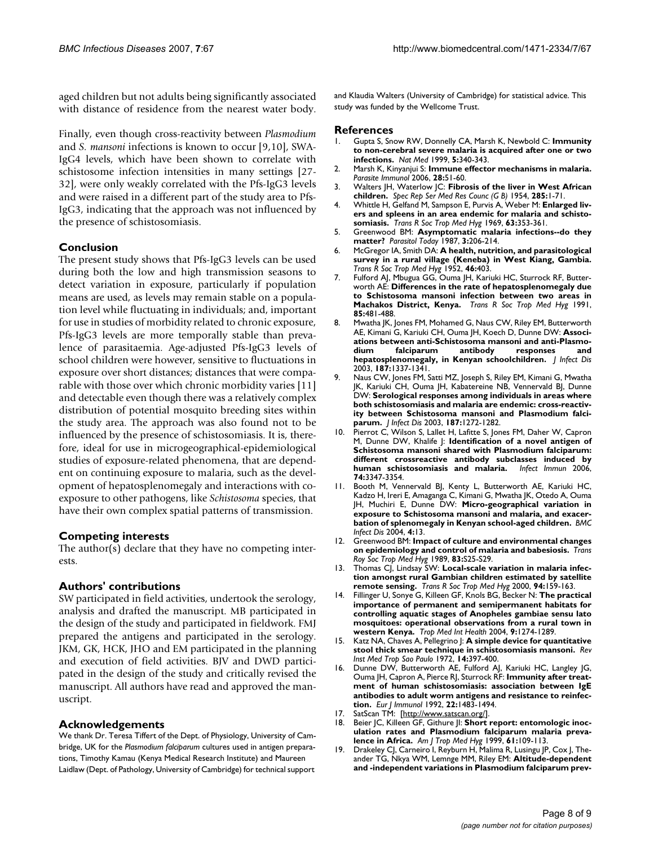aged children but not adults being significantly associated with distance of residence from the nearest water body.

Finally, even though cross-reactivity between *Plasmodium* and *S. mansoni* infections is known to occur [9,10], SWA-IgG4 levels, which have been shown to correlate with schistosome infection intensities in many settings [27- 32], were only weakly correlated with the Pfs-IgG3 levels and were raised in a different part of the study area to Pfs-IgG3, indicating that the approach was not influenced by the presence of schistosomiasis.

# **Conclusion**

The present study shows that Pfs-IgG3 levels can be used during both the low and high transmission seasons to detect variation in exposure, particularly if population means are used, as levels may remain stable on a population level while fluctuating in individuals; and, important for use in studies of morbidity related to chronic exposure, Pfs-IgG3 levels are more temporally stable than prevalence of parasitaemia. Age-adjusted Pfs-IgG3 levels of school children were however, sensitive to fluctuations in exposure over short distances; distances that were comparable with those over which chronic morbidity varies [11] and detectable even though there was a relatively complex distribution of potential mosquito breeding sites within the study area. The approach was also found not to be influenced by the presence of schistosomiasis. It is, therefore, ideal for use in microgeographical-epidemiological studies of exposure-related phenomena, that are dependent on continuing exposure to malaria, such as the development of hepatosplenomegaly and interactions with coexposure to other pathogens, like *Schistosoma* species, that have their own complex spatial patterns of transmission.

#### **Competing interests**

The author(s) declare that they have no competing interests.

#### **Authors' contributions**

SW participated in field activities, undertook the serology, analysis and drafted the manuscript. MB participated in the design of the study and participated in fieldwork. FMJ prepared the antigens and participated in the serology. JKM, GK, HCK, JHO and EM participated in the planning and execution of field activities. BJV and DWD participated in the design of the study and critically revised the manuscript. All authors have read and approved the manuscript.

#### **Acknowledgements**

We thank Dr. Teresa Tiffert of the Dept. of Physiology, University of Cambridge, UK for the *Plasmodium falciparum* cultures used in antigen preparations, Timothy Kamau (Kenya Medical Research Institute) and Maureen Laidlaw (Dept. of Pathology, University of Cambridge) for technical support

and Klaudia Walters (University of Cambridge) for statistical advice. This study was funded by the Wellcome Trust.

#### **References**

- 1. Gupta S, Snow RW, Donnelly CA, Marsh K, Newbold C: **[Immunity](http://www.ncbi.nlm.nih.gov/entrez/query.fcgi?cmd=Retrieve&db=PubMed&dopt=Abstract&list_uids=10086393) [to non-cerebral severe malaria is acquired after one or two](http://www.ncbi.nlm.nih.gov/entrez/query.fcgi?cmd=Retrieve&db=PubMed&dopt=Abstract&list_uids=10086393) [infections.](http://www.ncbi.nlm.nih.gov/entrez/query.fcgi?cmd=Retrieve&db=PubMed&dopt=Abstract&list_uids=10086393)** *Nat Med* 1999, **5:**340-343.
- 2. Marsh K, Kinyanjui S: **[Immune effector mechanisms in malaria.](http://www.ncbi.nlm.nih.gov/entrez/query.fcgi?cmd=Retrieve&db=PubMed&dopt=Abstract&list_uids=16438676)** *Parasite Immunol* 2006, **28:**51-60.
- 3. Walters JH, Waterlow JC: **[Fibrosis of the liver in West African](http://www.ncbi.nlm.nih.gov/entrez/query.fcgi?cmd=Retrieve&db=PubMed&dopt=Abstract&list_uids=13223115) [children.](http://www.ncbi.nlm.nih.gov/entrez/query.fcgi?cmd=Retrieve&db=PubMed&dopt=Abstract&list_uids=13223115)** *Spec Rep Ser Med Res Counc (G B)* 1954, **285:**1-71.
- 4. Whittle H, Gelfand M, Sampson E, Purvis A, Weber M: **[Enlarged liv](http://www.ncbi.nlm.nih.gov/entrez/query.fcgi?cmd=Retrieve&db=PubMed&dopt=Abstract&list_uids=4893920)[ers and spleens in an area endemic for malaria and schisto](http://www.ncbi.nlm.nih.gov/entrez/query.fcgi?cmd=Retrieve&db=PubMed&dopt=Abstract&list_uids=4893920)[somiasis.](http://www.ncbi.nlm.nih.gov/entrez/query.fcgi?cmd=Retrieve&db=PubMed&dopt=Abstract&list_uids=4893920)** *Trans R Soc Trop Med Hyg* 1969, **63:**353-361.
- 5. Greenwood BM: **[Asymptomatic malaria infections--do they](http://www.ncbi.nlm.nih.gov/entrez/query.fcgi?cmd=Retrieve&db=PubMed&dopt=Abstract&list_uids=15462957) [matter?](http://www.ncbi.nlm.nih.gov/entrez/query.fcgi?cmd=Retrieve&db=PubMed&dopt=Abstract&list_uids=15462957)** *Parasitol Today* 1987, **3:**206-214.
- 6. McGregor IA, Smith DA: **[A health, nutrition, and parasitological](http://www.ncbi.nlm.nih.gov/entrez/query.fcgi?cmd=Retrieve&db=PubMed&dopt=Abstract&list_uids=14958820) [survey in a rural village \(Keneba\) in West Kiang, Gambia.](http://www.ncbi.nlm.nih.gov/entrez/query.fcgi?cmd=Retrieve&db=PubMed&dopt=Abstract&list_uids=14958820)** *Trans R Soc Trop Med Hyg* 1952, **46:**403.
- 7. Fulford AJ, Mbugua GG, Ouma JH, Kariuki HC, Sturrock RF, Butterworth AE: **[Differences in the rate of hepatosplenomegaly due](http://www.ncbi.nlm.nih.gov/entrez/query.fcgi?cmd=Retrieve&db=PubMed&dopt=Abstract&list_uids=1755056) [to Schistosoma mansoni infection between two areas in](http://www.ncbi.nlm.nih.gov/entrez/query.fcgi?cmd=Retrieve&db=PubMed&dopt=Abstract&list_uids=1755056) [Machakos District, Kenya.](http://www.ncbi.nlm.nih.gov/entrez/query.fcgi?cmd=Retrieve&db=PubMed&dopt=Abstract&list_uids=1755056)** *Trans R Soc Trop Med Hyg* 1991, **85:**481-488.
- 8. Mwatha JK, Jones FM, Mohamed G, Naus CW, Riley EM, Butterworth AE, Kimani G, Kariuki CH, Ouma JH, Koech D, Dunne DW: **[Associ](http://www.ncbi.nlm.nih.gov/entrez/query.fcgi?cmd=Retrieve&db=PubMed&dopt=Abstract&list_uids=12696017)ations between anti-Schistosoma mansoni and anti-Plasmo[dium falciparum antibody responses and](http://www.ncbi.nlm.nih.gov/entrez/query.fcgi?cmd=Retrieve&db=PubMed&dopt=Abstract&list_uids=12696017) [hepatosplenomegaly, in Kenyan schoolchildren.](http://www.ncbi.nlm.nih.gov/entrez/query.fcgi?cmd=Retrieve&db=PubMed&dopt=Abstract&list_uids=12696017)** *J Infect Dis* 2003, **187:**1337-1341.
- 9. Naus CW, Jones FM, Satti MZ, Joseph S, Riley EM, Kimani G, Mwatha JK, Kariuki CH, Ouma JH, Kabatereine NB, Vennervald BJ, Dunne DW: **[Serological responses among individuals in areas where](http://www.ncbi.nlm.nih.gov/entrez/query.fcgi?cmd=Retrieve&db=PubMed&dopt=Abstract&list_uids=12696007) both schistosomiasis and malaria are endemic: cross-reactiv[ity between Schistosoma mansoni and Plasmodium falci](http://www.ncbi.nlm.nih.gov/entrez/query.fcgi?cmd=Retrieve&db=PubMed&dopt=Abstract&list_uids=12696007)[parum.](http://www.ncbi.nlm.nih.gov/entrez/query.fcgi?cmd=Retrieve&db=PubMed&dopt=Abstract&list_uids=12696007)** *J Infect Dis* 2003, **187:**1272-1282.
- 10. Pierrot C, Wilson S, Lallet H, Lafitte S, Jones FM, Daher W, Capron M, Dunne DW, Khalife J: **[Identification of a novel antigen of](http://www.ncbi.nlm.nih.gov/entrez/query.fcgi?cmd=Retrieve&db=PubMed&dopt=Abstract&list_uids=16714563) Schistosoma mansoni shared with Plasmodium falciparum: [different crossreactive antibody subclasses induced by](http://www.ncbi.nlm.nih.gov/entrez/query.fcgi?cmd=Retrieve&db=PubMed&dopt=Abstract&list_uids=16714563) [human schistosomiasis and malaria.](http://www.ncbi.nlm.nih.gov/entrez/query.fcgi?cmd=Retrieve&db=PubMed&dopt=Abstract&list_uids=16714563)** *Infect Immun* 2006, **74:**3347-3354.
- 11. Booth M, Vennervald BJ, Kenty L, Butterworth AE, Kariuki HC, Kadzo H, Ireri E, Amaganga C, Kimani G, Mwatha JK, Otedo A, Ouma JH, Muchiri E, Dunne DW: **[Micro-geographical variation in](http://www.ncbi.nlm.nih.gov/entrez/query.fcgi?cmd=Retrieve&db=PubMed&dopt=Abstract&list_uids=15147584) [exposure to Schistosoma mansoni and malaria, and exacer](http://www.ncbi.nlm.nih.gov/entrez/query.fcgi?cmd=Retrieve&db=PubMed&dopt=Abstract&list_uids=15147584)[bation of splenomegaly in Kenyan school-aged children.](http://www.ncbi.nlm.nih.gov/entrez/query.fcgi?cmd=Retrieve&db=PubMed&dopt=Abstract&list_uids=15147584)** *BMC Infect Dis* 2004, **4:**13.
- 12. Greenwood BM: **Impact of culture and environmental changes on epidemiology and control of malaria and babesiosis.** *Trans Roy Soc Trop Med Hyg* 1989, **83:**S25-S29.
- 13. Thomas CJ, Lindsay SW: **[Local-scale variation in malaria infec](http://www.ncbi.nlm.nih.gov/entrez/query.fcgi?cmd=Retrieve&db=PubMed&dopt=Abstract&list_uids=10897355)[tion amongst rural Gambian children estimated by satellite](http://www.ncbi.nlm.nih.gov/entrez/query.fcgi?cmd=Retrieve&db=PubMed&dopt=Abstract&list_uids=10897355) [remote sensing.](http://www.ncbi.nlm.nih.gov/entrez/query.fcgi?cmd=Retrieve&db=PubMed&dopt=Abstract&list_uids=10897355)** *Trans R Soc Trop Med Hyg* 2000, **94:**159-163.
- 14. Fillinger U, Sonye G, Killeen GF, Knols BG, Becker N: **[The practical](http://www.ncbi.nlm.nih.gov/entrez/query.fcgi?cmd=Retrieve&db=PubMed&dopt=Abstract&list_uids=15598259) importance of permanent and semipermanent habitats for [controlling aquatic stages of Anopheles gambiae sensu lato](http://www.ncbi.nlm.nih.gov/entrez/query.fcgi?cmd=Retrieve&db=PubMed&dopt=Abstract&list_uids=15598259) mosquitoes: operational observations from a rural town in [western Kenya.](http://www.ncbi.nlm.nih.gov/entrez/query.fcgi?cmd=Retrieve&db=PubMed&dopt=Abstract&list_uids=15598259)** *Trop Med Int Health* 2004, **9:**1274-1289.
- 15. Katz NA, Chaves A, Pellegrino J: **[A simple device for quantitative](http://www.ncbi.nlm.nih.gov/entrez/query.fcgi?cmd=Retrieve&db=PubMed&dopt=Abstract&list_uids=4675644) [stool thick smear technique in schistosomiasis mansoni.](http://www.ncbi.nlm.nih.gov/entrez/query.fcgi?cmd=Retrieve&db=PubMed&dopt=Abstract&list_uids=4675644)** *Rev Inst Med Trop Sao Paulo* 1972, **14:**397-400.
- 16. Dunne DW, Butterworth AE, Fulford AJ, Kariuki HC, Langley JG, Ouma JH, Capron A, Pierce RJ, Sturrock RF: **[Immunity after treat](http://www.ncbi.nlm.nih.gov/entrez/query.fcgi?cmd=Retrieve&db=PubMed&dopt=Abstract&list_uids=1601036)ment of human schistosomiasis: association between IgE [antibodies to adult worm antigens and resistance to reinfec](http://www.ncbi.nlm.nih.gov/entrez/query.fcgi?cmd=Retrieve&db=PubMed&dopt=Abstract&list_uids=1601036)[tion.](http://www.ncbi.nlm.nih.gov/entrez/query.fcgi?cmd=Retrieve&db=PubMed&dopt=Abstract&list_uids=1601036)** *Eur J Immunol* 1992, **22:**1483-1494.
- 17. SatScan TM: [<http://www.satscan.org/>].
- 18. Beier JC, Killeen GF, Githure JI: **[Short report: entomologic inoc](http://www.ncbi.nlm.nih.gov/entrez/query.fcgi?cmd=Retrieve&db=PubMed&dopt=Abstract&list_uids=10432066)[ulation rates and Plasmodium falciparum malaria preva](http://www.ncbi.nlm.nih.gov/entrez/query.fcgi?cmd=Retrieve&db=PubMed&dopt=Abstract&list_uids=10432066)[lence in Africa.](http://www.ncbi.nlm.nih.gov/entrez/query.fcgi?cmd=Retrieve&db=PubMed&dopt=Abstract&list_uids=10432066)** *Am J Trop Med Hyg* 1999, **61:**109-113.
- 19. Drakeley CJ, Carneiro I, Reyburn H, Malima R, Lusingu JP, Cox J, Theander TG, Nkya WM, Lemnge MM, Riley EM: **[Altitude-dependent](http://www.ncbi.nlm.nih.gov/entrez/query.fcgi?cmd=Retrieve&db=PubMed&dopt=Abstract&list_uids=15838785) [and -independent variations in Plasmodium falciparum prev](http://www.ncbi.nlm.nih.gov/entrez/query.fcgi?cmd=Retrieve&db=PubMed&dopt=Abstract&list_uids=15838785)-**